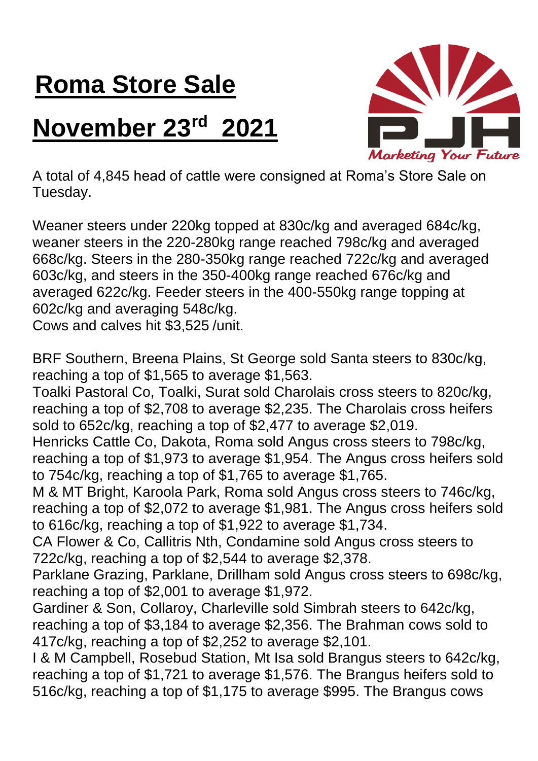## **Roma Store Sale**

## **November 23rd 2021**



A total of 4,845 head of cattle were consigned at Roma's Store Sale on Tuesday.

Weaner steers under 220kg topped at 830c/kg and averaged 684c/kg, weaner steers in the 220-280kg range reached 798c/kg and averaged 668c/kg. Steers in the 280-350kg range reached 722c/kg and averaged 603c/kg, and steers in the 350-400kg range reached 676c/kg and averaged 622c/kg. Feeder steers in the 400-550kg range topping at 602c/kg and averaging 548c/kg.

Cows and calves hit \$3,525 /unit.

BRF Southern, Breena Plains, St George sold Santa steers to 830c/kg, reaching a top of \$1,565 to average \$1,563.

Toalki Pastoral Co, Toalki, Surat sold Charolais cross steers to 820c/kg, reaching a top of \$2,708 to average \$2,235. The Charolais cross heifers sold to 652c/kg, reaching a top of \$2,477 to average \$2,019.

Henricks Cattle Co, Dakota, Roma sold Angus cross steers to 798c/kg, reaching a top of \$1,973 to average \$1,954. The Angus cross heifers sold to 754c/kg, reaching a top of \$1,765 to average \$1,765.

M & MT Bright, Karoola Park, Roma sold Angus cross steers to 746c/kg, reaching a top of \$2,072 to average \$1,981. The Angus cross heifers sold to 616c/kg, reaching a top of \$1,922 to average \$1,734.

CA Flower & Co, Callitris Nth, Condamine sold Angus cross steers to 722c/kg, reaching a top of \$2,544 to average \$2,378.

Parklane Grazing, Parklane, Drillham sold Angus cross steers to 698c/kg, reaching a top of \$2,001 to average \$1,972.

Gardiner & Son, Collaroy, Charleville sold Simbrah steers to 642c/kg, reaching a top of \$3,184 to average \$2,356. The Brahman cows sold to 417c/kg, reaching a top of \$2,252 to average \$2,101.

I & M Campbell, Rosebud Station, Mt Isa sold Brangus steers to 642c/kg, reaching a top of \$1,721 to average \$1,576. The Brangus heifers sold to 516c/kg, reaching a top of \$1,175 to average \$995. The Brangus cows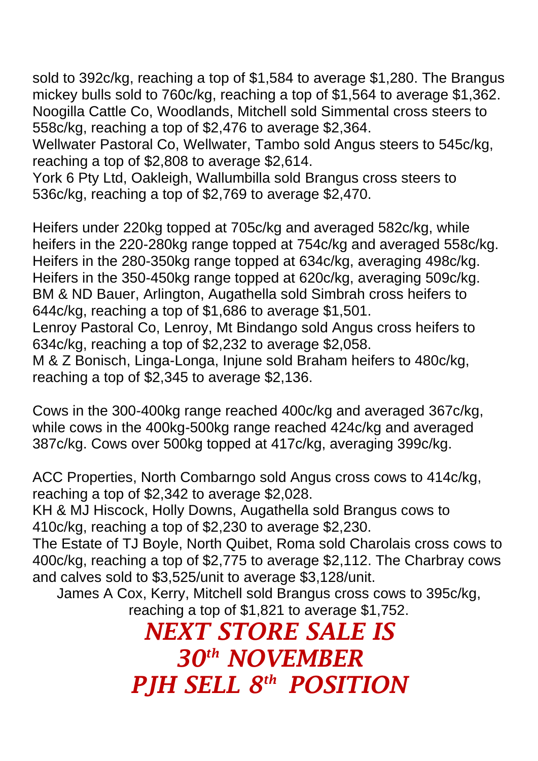sold to 392c/kg, reaching a top of \$1,584 to average \$1,280. The Brangus mickey bulls sold to 760c/kg, reaching a top of \$1,564 to average \$1,362. Noogilla Cattle Co, Woodlands, Mitchell sold Simmental cross steers to 558c/kg, reaching a top of \$2,476 to average \$2,364.

Wellwater Pastoral Co, Wellwater, Tambo sold Angus steers to 545c/kg, reaching a top of \$2,808 to average \$2,614.

York 6 Pty Ltd, Oakleigh, Wallumbilla sold Brangus cross steers to 536c/kg, reaching a top of \$2,769 to average \$2,470.

Heifers under 220kg topped at 705c/kg and averaged 582c/kg, while heifers in the 220-280kg range topped at 754c/kg and averaged 558c/kg. Heifers in the 280-350kg range topped at 634c/kg, averaging 498c/kg. Heifers in the 350-450kg range topped at 620c/kg, averaging 509c/kg. BM & ND Bauer, Arlington, Augathella sold Simbrah cross heifers to 644c/kg, reaching a top of \$1,686 to average \$1,501. Lenroy Pastoral Co, Lenroy, Mt Bindango sold Angus cross heifers to 634c/kg, reaching a top of \$2,232 to average \$2,058.

M & Z Bonisch, Linga-Longa, Injune sold Braham heifers to 480c/kg, reaching a top of \$2,345 to average \$2,136.

Cows in the 300-400kg range reached 400c/kg and averaged 367c/kg, while cows in the 400kg-500kg range reached 424c/kg and averaged 387c/kg. Cows over 500kg topped at 417c/kg, averaging 399c/kg.

ACC Properties, North Combarngo sold Angus cross cows to 414c/kg, reaching a top of \$2,342 to average \$2,028.

KH & MJ Hiscock, Holly Downs, Augathella sold Brangus cows to 410c/kg, reaching a top of \$2,230 to average \$2,230.

The Estate of TJ Boyle, North Quibet, Roma sold Charolais cross cows to 400c/kg, reaching a top of \$2,775 to average \$2,112. The Charbray cows and calves sold to \$3,525/unit to average \$3,128/unit.

James A Cox, Kerry, Mitchell sold Brangus cross cows to 395c/kg, reaching a top of \$1,821 to average \$1,752.

*NEXT STORE SALE IS 30 th NOVEMBER PJH SELL 8 th POSITION*